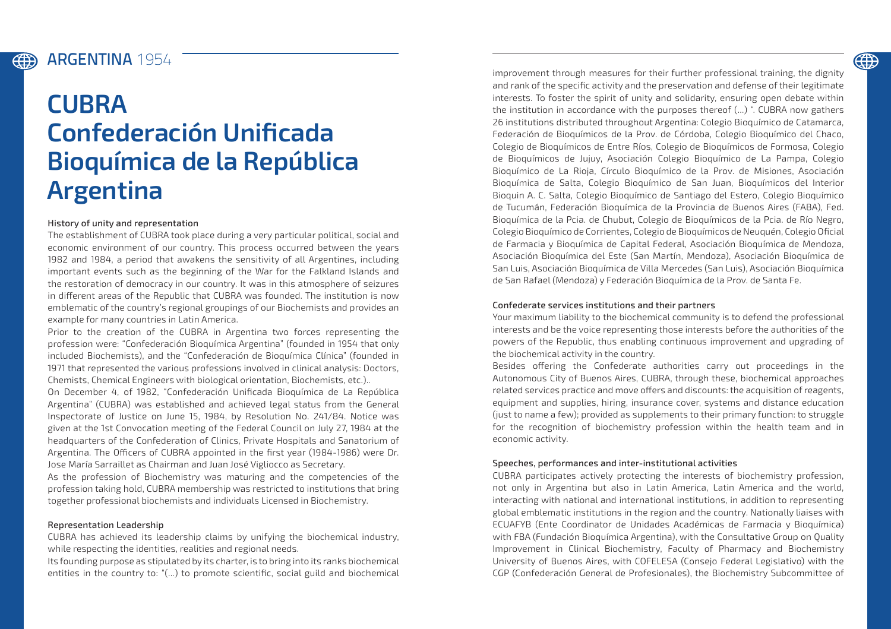### ARGENTINA **1954**

**EEEE** 

# **CUBRA Confederación Unificada Bioquímica de la República Argentina**

#### History of unity and representation

The establishment of CUBRA took place during a very particular political, social and economic environment of our country. This process occurred between the years 1982 and 1984, a period that awakens the sensitivity of all Argentines, including important events such as the beginning of the War for the Falkland Islands and the restoration of democracy in our country. It was in this atmosphere of seizures in different areas of the Republic that CUBRA was founded. The institution is now emblematic of the country's regional groupings of our Biochemists and provides an example for many countries in Latin America.

Prior to the creation of the CUBRA in Argentina two forces representing the profession were: "Confederación Bioquímica Argentina" (founded in 1954 that only included Biochemists), and the "Confederación de Bioquímica Clínica" (founded in 1971 that represented the various professions involved in clinical analysis: Doctors, Chemists, Chemical Engineers with biological orientation, Biochemists, etc.)..

On December 4, of 1982, "Confederación Unificada Bioquímica de La República Argentina" (CUBRA) was established and achieved legal status from the General Inspectorate of Justice on June 15, 1984, by Resolution No. 241/84. Notice was given at the 1st Convocation meeting of the Federal Council on July 27, 1984 at the headquarters of the Confederation of Clinics, Private Hospitals and Sanatorium of Argentina. The Officers of CUBRA appointed in the first year (1984-1986) were Dr. Jose María Sarraillet as Chairman and Juan José Vigliocco as Secretary.

As the profession of Biochemistry was maturing and the competencies of the profession taking hold, CUBRA membership was restricted to institutions that bring together professional biochemists and individuals Licensed in Biochemistry.

#### Representation Leadership

CUBRA has achieved its leadership claims by unifying the biochemical industry, while respecting the identities, realities and regional needs.

Its founding purpose as stipulated by its charter, is to bring into its ranks biochemical entities in the country to: "(...) to promote scientific, social guild and biochemical

improvement through measures for their further professional training, the dignity and rank of the specific activity and the preservation and defense of their legitimate interests. To foster the spirit of unity and solidarity, ensuring open debate within the institution in accordance with the purposes thereof (...) ". CUBRA now gathers 26 institutions distributed throughout Argentina: Colegio Bioquímico de Catamarca, Federación de Bioquímicos de la Prov. de Córdoba, Colegio Bioquímico del Chaco, Colegio de Bioquímicos de Entre Ríos, Colegio de Bioquímicos de Formosa, Colegio de Bioquímicos de Jujuy, Asociación Colegio Bioquímico de La Pampa, Colegio Bioquímico de La Rioja, Círculo Bioquímico de la Prov. de Misiones, Asociación Bioquímica de Salta, Colegio Bioquímico de San Juan, Bioquímicos del Interior Bioquin A. C. Salta, Colegio Bioquímico de Santiago del Estero, Colegio Bioquímico de Tucumán, Federación Bioquímica de la Provincia de Buenos Aires (FABA), Fed. Bioquímica de la Pcia. de Chubut, Colegio de Bioquímicos de la Pcia. de Río Negro, Colegio Bioquímico de Corrientes, Colegio de Bioquímicos de Neuquén, Colegio Oficial de Farmacia y Bioquímica de Capital Federal, Asociación Bioquímica de Mendoza, Asociación Bioquímica del Este (San Martín, Mendoza), Asociación Bioquímica de San Luis, Asociación Bioquímica de Villa Mercedes (San Luis), Asociación Bioquímica de San Rafael (Mendoza) y Federación Bioquímica de la Prov. de Santa Fe.

#### Confederate services institutions and their partners

Your maximum liability to the biochemical community is to defend the professional interests and be the voice representing those interests before the authorities of the powers of the Republic, thus enabling continuous improvement and upgrading of the biochemical activity in the country.

Besides offering the Confederate authorities carry out proceedings in the Autonomous City of Buenos Aires, CUBRA, through these, biochemical approaches related services practice and move offers and discounts: the acquisition of reagents, equipment and supplies, hiring, insurance cover, systems and distance education (just to name a few); provided as supplements to their primary function: to struggle for the recognition of biochemistry profession within the health team and in economic activity.

#### Speeches, performances and inter-institutional activities

CUBRA participates actively protecting the interests of biochemistry profession, not only in Argentina but also in Latin America, Latin America and the world, interacting with national and international institutions, in addition to representing global emblematic institutions in the region and the country. Nationally liaises with ECUAFYB (Ente Coordinator de Unidades Académicas de Farmacia y Bioquímica) with FBA (Fundación Bioquímica Argentina), with the Consultative Group on Quality Improvement in Clinical Biochemistry, Faculty of Pharmacy and Biochemistry University of Buenos Aires, with COFELESA (Consejo Federal Legislativo) with the CGP (Confederación General de Profesionales), the Biochemistry Subcommittee of